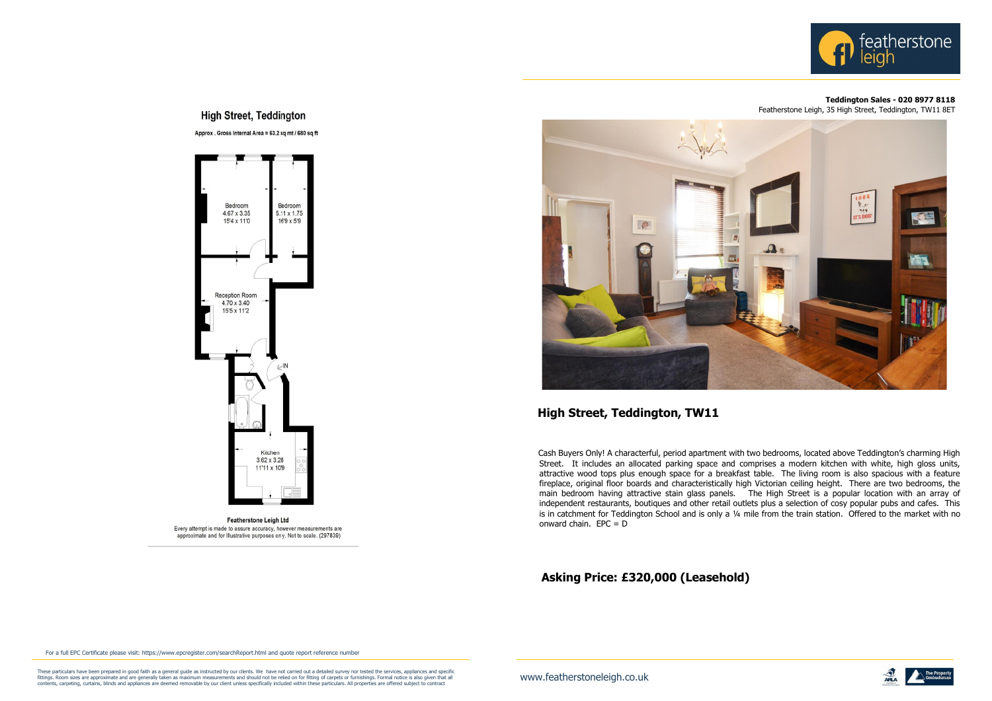## **High Street, Teddington**

Approx . Gross Internal Area = 63.2 sq mt / 680 sq ft



**Featherstone Leigh Ltd** Every attempt is made to assure accuracy, however measurements are approximate and for Illustrative purposes only. Not to scale. (297839)



These particulars have been prepared in good faith as a general guide as instructed by our clients. We have not carried out a detailed survey nor tested the services, appliances and specific **the contrary and the particula** contents, carpeting, curtains, blinds and appliances are deemed removable by our client unless specifically included within these particulars. All properties are offered subject to contract



Cash Buyers Only! A characterful, period apartment with two bedrooms, located above Teddington's charming High Street. It includes an allocated parking space and comprises a modern kitchen with white, high gloss units, attractive wood tops plus enough space for a breakfast table. The living room is also spacious with a feature fireplace, original floor boards and characteristically high Victorian ceiling height. There are two bedrooms, the main bedroom having attractive stain glass panels. The High Street is a popular location with an array of independent restaurants, boutiques and other retail outlets plus a selection of cosy popular pubs and cafes. This is in catchment for Teddington School and is only a ¼ mile from the train station. Offered to the market with no onward chain.  $EPC = D$ 

## **Teddington Sales - 020 8977 8118**

Featherstone Leigh, 35 High Street, Teddington, TW11 8ET



## **High Street, Teddington, TW11**

## **Asking Price: £320,000 (Leasehold)**

For a full EPC Certificate please visit[: https://www.epcregister.com/searchReport.html](http://www.epcregister.com/searchReport.html) and quote report reference number